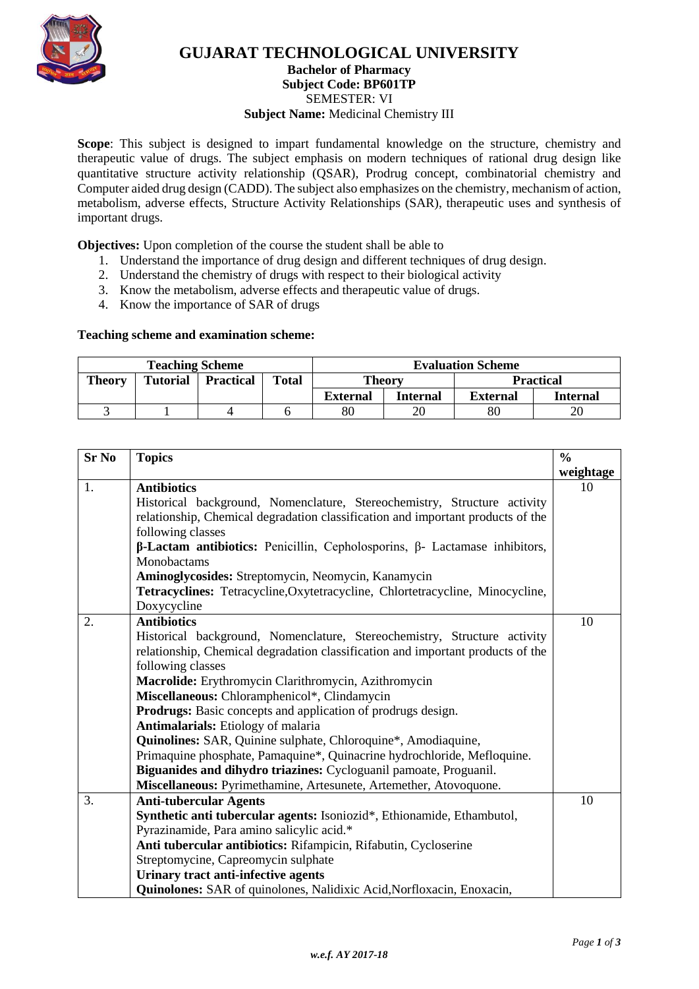

# **GUJARAT TECHNOLOGICAL UNIVERSITY**

# **Bachelor of Pharmacy**

**Subject Code: [BP601TP](javascript:PopupCenter_upload()**

SEMESTER: VI

**Subject Name:** Medicinal Chemistry III

**Scope**: This subject is designed to impart fundamental knowledge on the structure, chemistry and therapeutic value of drugs. The subject emphasis on modern techniques of rational drug design like quantitative structure activity relationship (QSAR), Prodrug concept, combinatorial chemistry and Computer aided drug design (CADD). The subject also emphasizes on the chemistry, mechanism of action, metabolism, adverse effects, Structure Activity Relationships (SAR), therapeutic uses and synthesis of important drugs.

**Objectives:** Upon completion of the course the student shall be able to

- 1. Understand the importance of drug design and different techniques of drug design.
- 2. Understand the chemistry of drugs with respect to their biological activity
- 3. Know the metabolism, adverse effects and therapeutic value of drugs.
- 4. Know the importance of SAR of drugs

#### **Teaching scheme and examination scheme:**

| <b>Teaching Scheme</b> |                 |                  |              | <b>Evaluation Scheme</b> |                 |                 |                  |
|------------------------|-----------------|------------------|--------------|--------------------------|-----------------|-----------------|------------------|
| <b>Theory</b>          | <b>Tutorial</b> | <b>Practical</b> | <b>Total</b> | <b>Theory</b>            |                 |                 | <b>Practical</b> |
|                        |                 |                  |              | <b>External</b>          | <b>Internal</b> | <b>External</b> | Internal         |
|                        |                 |                  |              | 80                       | 20              | 80              | 20               |

| <b>Sr No</b> | <b>Topics</b>                                                                            | $\frac{6}{6}$ |
|--------------|------------------------------------------------------------------------------------------|---------------|
|              |                                                                                          | weightage     |
| 1.           | <b>Antibiotics</b>                                                                       | 10            |
|              | Historical background, Nomenclature, Stereochemistry, Structure activity                 |               |
|              | relationship, Chemical degradation classification and important products of the          |               |
|              | following classes                                                                        |               |
|              | $\beta$ -Lactam antibiotics: Penicillin, Cepholosporins, $\beta$ - Lactamase inhibitors, |               |
|              | Monobactams                                                                              |               |
|              | Aminoglycosides: Streptomycin, Neomycin, Kanamycin                                       |               |
|              | Tetracyclines: Tetracycline, Oxytetracycline, Chlortetracycline, Minocycline,            |               |
|              | Doxycycline                                                                              |               |
| 2.           | <b>Antibiotics</b>                                                                       | 10            |
|              | Historical background, Nomenclature, Stereochemistry, Structure activity                 |               |
|              | relationship, Chemical degradation classification and important products of the          |               |
|              | following classes                                                                        |               |
|              | Macrolide: Erythromycin Clarithromycin, Azithromycin                                     |               |
|              | Miscellaneous: Chloramphenicol*, Clindamycin                                             |               |
|              | <b>Prodrugs:</b> Basic concepts and application of prodrugs design.                      |               |
|              | <b>Antimalarials:</b> Etiology of malaria                                                |               |
|              | Quinolines: SAR, Quinine sulphate, Chloroquine*, Amodiaquine,                            |               |
|              | Primaquine phosphate, Pamaquine*, Quinacrine hydrochloride, Mefloquine.                  |               |
|              | Biguanides and dihydro triazines: Cycloguanil pamoate, Proguanil.                        |               |
|              | Miscellaneous: Pyrimethamine, Artesunete, Artemether, Atovoquone.                        |               |
| 3.           | <b>Anti-tubercular Agents</b>                                                            | 10            |
|              | Synthetic anti tubercular agents: Isoniozid*, Ethionamide, Ethambutol,                   |               |
|              | Pyrazinamide, Para amino salicylic acid.*                                                |               |
|              | Anti tubercular antibiotics: Rifampicin, Rifabutin, Cycloserine                          |               |
|              | Streptomycine, Capreomycin sulphate                                                      |               |
|              | Urinary tract anti-infective agents                                                      |               |
|              | Quinolones: SAR of quinolones, Nalidixic Acid, Norfloxacin, Enoxacin,                    |               |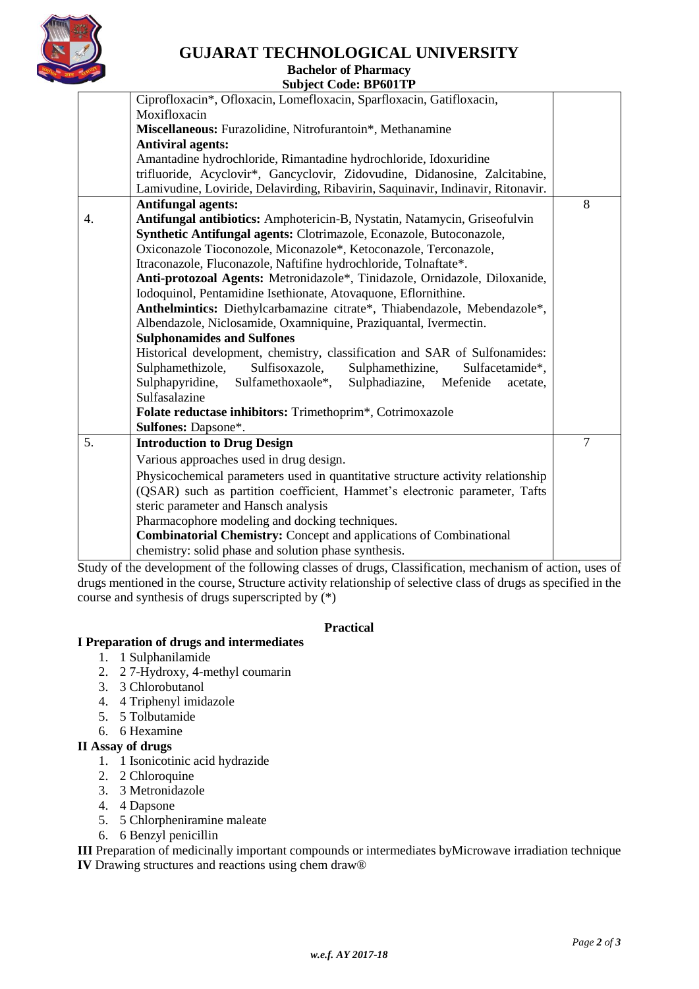

# **GUJARAT TECHNOLOGICAL UNIVERSITY**

#### **Bachelor of Pharmacy Subject Code: [BP601TP](javascript:PopupCenter_upload()**

|    | <b>Subject Code: Drovilly</b>                                                   |                |  |  |  |  |
|----|---------------------------------------------------------------------------------|----------------|--|--|--|--|
|    | Ciprofloxacin*, Ofloxacin, Lomefloxacin, Sparfloxacin, Gatifloxacin,            |                |  |  |  |  |
|    | Moxifloxacin                                                                    |                |  |  |  |  |
|    | Miscellaneous: Furazolidine, Nitrofurantoin*, Methanamine                       |                |  |  |  |  |
|    | <b>Antiviral agents:</b>                                                        |                |  |  |  |  |
|    | Amantadine hydrochloride, Rimantadine hydrochloride, Idoxuridine                |                |  |  |  |  |
|    | trifluoride, Acyclovir*, Gancyclovir, Zidovudine, Didanosine, Zalcitabine,      |                |  |  |  |  |
|    | Lamivudine, Loviride, Delavirding, Ribavirin, Saquinavir, Indinavir, Ritonavir. |                |  |  |  |  |
|    | <b>Antifungal agents:</b>                                                       | 8              |  |  |  |  |
| 4. | Antifungal antibiotics: Amphotericin-B, Nystatin, Natamycin, Griseofulvin       |                |  |  |  |  |
|    | Synthetic Antifungal agents: Clotrimazole, Econazole, Butoconazole,             |                |  |  |  |  |
|    | Oxiconazole Tioconozole, Miconazole*, Ketoconazole, Terconazole,                |                |  |  |  |  |
|    | Itraconazole, Fluconazole, Naftifine hydrochloride, Tolnaftate*.                |                |  |  |  |  |
|    | Anti-protozoal Agents: Metronidazole*, Tinidazole, Ornidazole, Diloxanide,      |                |  |  |  |  |
|    | Iodoquinol, Pentamidine Isethionate, Atovaquone, Eflornithine.                  |                |  |  |  |  |
|    | Anthelmintics: Diethylcarbamazine citrate*, Thiabendazole, Mebendazole*,        |                |  |  |  |  |
|    | Albendazole, Niclosamide, Oxamniquine, Praziquantal, Ivermectin.                |                |  |  |  |  |
|    | <b>Sulphonamides and Sulfones</b>                                               |                |  |  |  |  |
|    | Historical development, chemistry, classification and SAR of Sulfonamides:      |                |  |  |  |  |
|    | Sulphamethizole,<br>Sulfisoxazole,<br>Sulphamethizine,<br>Sulfacetamide*,       |                |  |  |  |  |
|    | Sulphapyridine,<br>Sulfamethoxaole*,<br>Sulphadiazine, Mefenide<br>acetate,     |                |  |  |  |  |
|    | Sulfasalazine                                                                   |                |  |  |  |  |
|    | Folate reductase inhibitors: Trimethoprim*, Cotrimoxazole                       |                |  |  |  |  |
|    | Sulfones: Dapsone*.                                                             |                |  |  |  |  |
| 5. | <b>Introduction to Drug Design</b>                                              | $\overline{7}$ |  |  |  |  |
|    | Various approaches used in drug design.                                         |                |  |  |  |  |
|    | Physicochemical parameters used in quantitative structure activity relationship |                |  |  |  |  |
|    | (QSAR) such as partition coefficient, Hammet's electronic parameter, Tafts      |                |  |  |  |  |
|    | steric parameter and Hansch analysis                                            |                |  |  |  |  |
|    | Pharmacophore modeling and docking techniques.                                  |                |  |  |  |  |
|    | <b>Combinatorial Chemistry: Concept and applications of Combinational</b>       |                |  |  |  |  |
|    | chemistry: solid phase and solution phase synthesis.                            |                |  |  |  |  |
|    |                                                                                 |                |  |  |  |  |

Study of the development of the following classes of drugs, Classification, mechanism of action, uses of drugs mentioned in the course, Structure activity relationship of selective class of drugs as specified in the course and synthesis of drugs superscripted by (\*)

#### **Practical**

#### **I Preparation of drugs and intermediates**

- 1. 1 Sulphanilamide
- 2. 2 7-Hydroxy, 4-methyl coumarin
- 3. 3 Chlorobutanol
- 4. 4 Triphenyl imidazole
- 5. 5 Tolbutamide
- 6. 6 Hexamine

#### **II Assay of drugs**

- 1. 1 Isonicotinic acid hydrazide
- 2. 2 Chloroquine
- 3. 3 Metronidazole
- 4. 4 Dapsone
- 5. 5 Chlorpheniramine maleate
- 6. 6 Benzyl penicillin

**III** Preparation of medicinally important compounds or intermediates byMicrowave irradiation technique **IV** Drawing structures and reactions using chem draw®